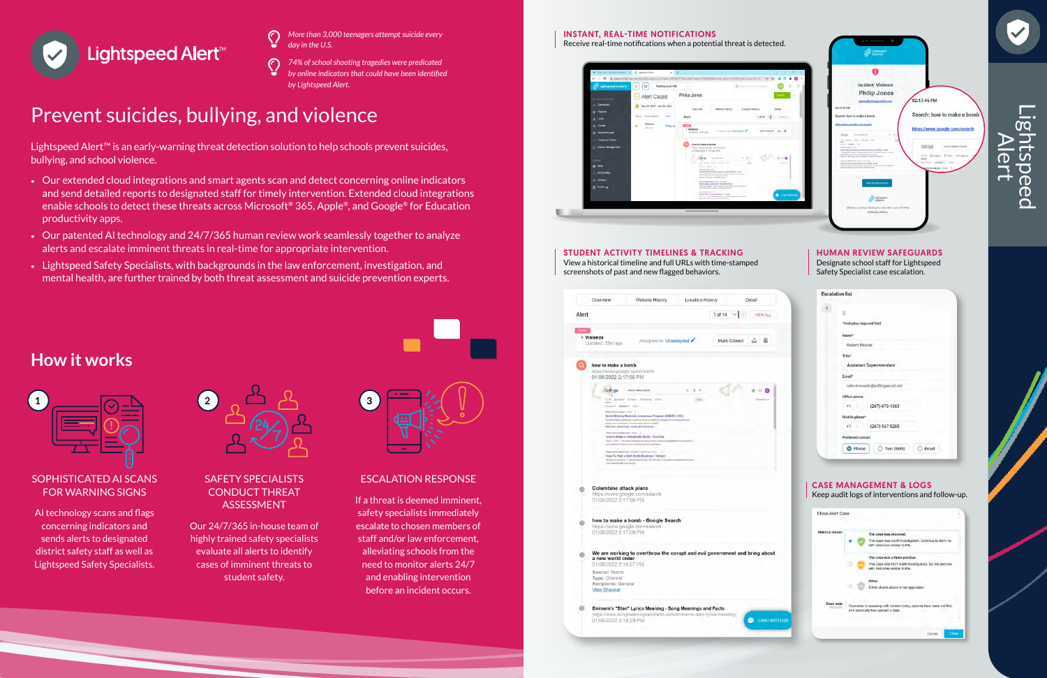

- *More than 3,000 teenagers attempt suicide every day in the U.S.*  $\mathbb{Q}$
- *74% of school shooting tragedies were predicated by online indicators that could have been identified by Lightspeed Alert.*  $\mathbb{Q}$

### SOPHISTICATED AI SCANS FOR WARNING SIGNS

AI technology scans and flags concerning indicators and sends alerts to designated district safety staff as well as Lightspeed Safety Specialists.



#### SAFETY SPECIALISTS CONDUCT THREAT ASSESSMENT

Our 24/7/365 in-house team of highly trained safety specialists evaluate all alerts to identify cases of imminent threats to student safety.



### ESCALATION RESPONSE

If a threat is deemed imminent, safety specialists immediately escalate to chosen members of staff and/or law enforcement, alleviating schools from the need to monitor alerts 24/7 and enabling intervention before an incident occurs.



## **How it works**



|       | Overview                                                                                                               | Website History                                                                                                                                                                                                                           | Location History |                  | Detail   |
|-------|------------------------------------------------------------------------------------------------------------------------|-------------------------------------------------------------------------------------------------------------------------------------------------------------------------------------------------------------------------------------------|------------------|------------------|----------|
| Alert |                                                                                                                        |                                                                                                                                                                                                                                           |                  | 1 of 14 $\times$ | VIEW ALL |
| Open  | $\triangleright$ Violence<br>Updated: 32m ago                                                                          | Assigned to: Unassigned                                                                                                                                                                                                                   |                  | Mark Closed      | ک        |
| Ω     | how to make a bomb<br>https://www.google.com/search<br>01/06/2022 2:17:09 PM                                           |                                                                                                                                                                                                                                           |                  |                  |          |
|       | G de                                                                                                                   | how to make a burnt                                                                                                                                                                                                                       | 工作<br>×          |                  | 田        |
|       | Inventor: Webstern Court                                                                                               | Q.M. Screen: 0 Unit: 0 Energy 13ters                                                                                                                                                                                                      | $ 3m\rangle$     |                  |          |
|       | Importaneous governor 1                                                                                                | Bomb-Making Materials Awareness Program (BMAP) I CISA<br>The Roman Making Morecule Automotive Ringtons (MARP) to starty<br>childed coverable a sharestoned for assumes to the estate<br>What to Do - Bornd Threat: Course of L'Thomay and | teaching and     |                  |          |
|       | Programma pointboxeer point.                                                                                           | How to Make a Homemade Bomb - YouTube<br>Map121_1037 - The come symmetry and heling man or terming as<br>Local Associate to Highest www.sandyhologalaxtics.org/fore                                                                       |                  |                  |          |
|       | Laura from the make trust from her                                                                                     | Regist (Paramet Vertiginsk Zeiser) - Roommund - recomproven / Room K.,  1 11<br>How To Start a Bath Bomb Business - Verizon<br>Materials produce of Development Packers that they to try good the natural test institute                  |                  |                  |          |
| 6     | <b>Columbine attack plans</b><br>01/06/2022 2:17:58 PM                                                                 | https://www.google.com/search                                                                                                                                                                                                             |                  |                  |          |
|       | 01/06/2022 2:17:09 PM                                                                                                  | how to make a bomb - Google Search<br>https://www.google.com/search                                                                                                                                                                       |                  |                  |          |
|       | We are working to overthrow the corupt and evil government and bring abo<br>a new world order<br>01/06/2022 2:16:57 PM |                                                                                                                                                                                                                                           |                  |                  |          |
|       | Source: Teams<br>Type: Channel<br>Recipients: General<br><b>View Channel</b>                                           |                                                                                                                                                                                                                                           |                  |                  |          |
|       | https://www.songmeaningsandfacts.com/eminems-stan-lyrics-meaning/                                                      | Eminem's "Stan" Lyrics Meaning - Song Meanings and Facts                                                                                                                                                                                  |                  |                  |          |

Cancel

## Prevent suicides, bullying, and violence

Lightspeed Alert™ is an early-warning threat detection solution to help schools prevent suicides, bullying, and school violence.

- Our extended cloud integrations and smart agents scan and detect concerning online indicators and send detailed reports to designated staff for timely intervention. Extended cloud integrations enable schools to detect these threats across Microsoft® 365, Apple®, and Google® for Education productivity apps.
- Our patented AI technology and 24/7/365 human review work seamlessly together to analyze alerts and escalate imminent threats in real-time for appropriate intervention.
- Lightspeed Safety Specialists, with backgrounds in the law enforcement, investigation, and mental health, are further trained by both threat assessment and suicide prevention experts.